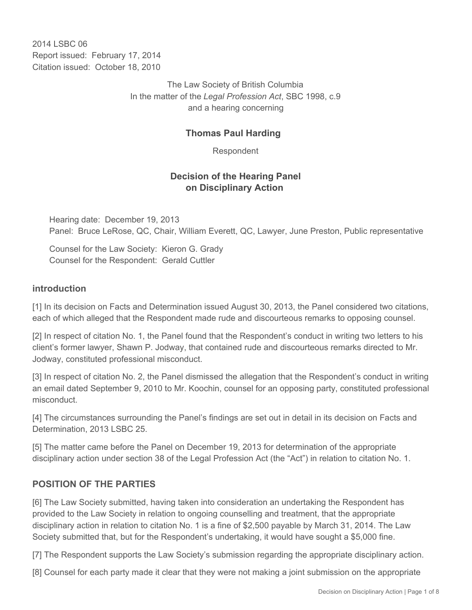2014 LSBC 06 Report issued: February 17, 2014 Citation issued: October 18, 2010

> The Law Society of British Columbia In the matter of the *Legal Profession Act*, SBC 1998, c.9 and a hearing concerning

## **Thomas Paul Harding**

Respondent

## **Decision of the Hearing Panel on Disciplinary Action**

Hearing date: December 19, 2013 Panel: Bruce LeRose, QC, Chair, William Everett, QC, Lawyer, June Preston, Public representative

Counsel for the Law Society: Kieron G. Grady Counsel for the Respondent: Gerald Cuttler

### **introduction**

[1] In its decision on Facts and Determination issued August 30, 2013, the Panel considered two citations, each of which alleged that the Respondent made rude and discourteous remarks to opposing counsel.

[2] In respect of citation No. 1, the Panel found that the Respondent's conduct in writing two letters to his client's former lawyer, Shawn P. Jodway, that contained rude and discourteous remarks directed to Mr. Jodway, constituted professional misconduct.

[3] In respect of citation No. 2, the Panel dismissed the allegation that the Respondent's conduct in writing an email dated September 9, 2010 to Mr. Koochin, counsel for an opposing party, constituted professional misconduct.

[4] The circumstances surrounding the Panel's findings are set out in detail in its decision on Facts and Determination, 2013 LSBC 25.

[5] The matter came before the Panel on December 19, 2013 for determination of the appropriate disciplinary action under section 38 of the Legal Profession Act (the "Act") in relation to citation No. 1.

## **POSITION OF THE PARTIES**

[6] The Law Society submitted, having taken into consideration an undertaking the Respondent has provided to the Law Society in relation to ongoing counselling and treatment, that the appropriate disciplinary action in relation to citation No. 1 is a fine of \$2,500 payable by March 31, 2014. The Law Society submitted that, but for the Respondent's undertaking, it would have sought a \$5,000 fine.

[7] The Respondent supports the Law Society's submission regarding the appropriate disciplinary action.

[8] Counsel for each party made it clear that they were not making a joint submission on the appropriate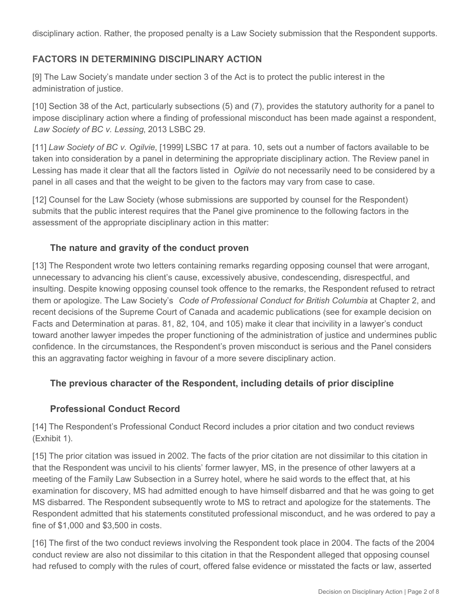disciplinary action. Rather, the proposed penalty is a Law Society submission that the Respondent supports.

## **FACTORS IN DETERMINING DISCIPLINARY ACTION**

[9] The Law Society's mandate under section 3 of the Act is to protect the public interest in the administration of justice.

[10] Section 38 of the Act, particularly subsections (5) and (7), provides the statutory authority for a panel to impose disciplinary action where a finding of professional misconduct has been made against a respondent, *Law Society of BC v. Lessing*, 2013 LSBC 29.

[11] *Law Society of BC v. Ogilvie*, [1999] LSBC 17 at para. 10, sets out a number of factors available to be taken into consideration by a panel in determining the appropriate disciplinary action. The Review panel in Lessing has made it clear that all the factors listed in *Ogilvie* do not necessarily need to be considered by a panel in all cases and that the weight to be given to the factors may vary from case to case.

[12] Counsel for the Law Society (whose submissions are supported by counsel for the Respondent) submits that the public interest requires that the Panel give prominence to the following factors in the assessment of the appropriate disciplinary action in this matter:

## **The nature and gravity of the conduct proven**

[13] The Respondent wrote two letters containing remarks regarding opposing counsel that were arrogant, unnecessary to advancing his client's cause, excessively abusive, condescending, disrespectful, and insulting. Despite knowing opposing counsel took offence to the remarks, the Respondent refused to retract them or apologize. The Law Society's *Code of Professional Conduct for British Columbia* at Chapter 2, and recent decisions of the Supreme Court of Canada and academic publications (see for example decision on Facts and Determination at paras. 81, 82, 104, and 105) make it clear that incivility in a lawyer's conduct toward another lawyer impedes the proper functioning of the administration of justice and undermines public confidence. In the circumstances, the Respondent's proven misconduct is serious and the Panel considers this an aggravating factor weighing in favour of a more severe disciplinary action.

# **The previous character of the Respondent, including details of prior discipline**

## **Professional Conduct Record**

[14] The Respondent's Professional Conduct Record includes a prior citation and two conduct reviews (Exhibit 1).

[15] The prior citation was issued in 2002. The facts of the prior citation are not dissimilar to this citation in that the Respondent was uncivil to his clients' former lawyer, MS, in the presence of other lawyers at a meeting of the Family Law Subsection in a Surrey hotel, where he said words to the effect that, at his examination for discovery, MS had admitted enough to have himself disbarred and that he was going to get MS disbarred. The Respondent subsequently wrote to MS to retract and apologize for the statements. The Respondent admitted that his statements constituted professional misconduct, and he was ordered to pay a fine of \$1,000 and \$3,500 in costs.

[16] The first of the two conduct reviews involving the Respondent took place in 2004. The facts of the 2004 conduct review are also not dissimilar to this citation in that the Respondent alleged that opposing counsel had refused to comply with the rules of court, offered false evidence or misstated the facts or law, asserted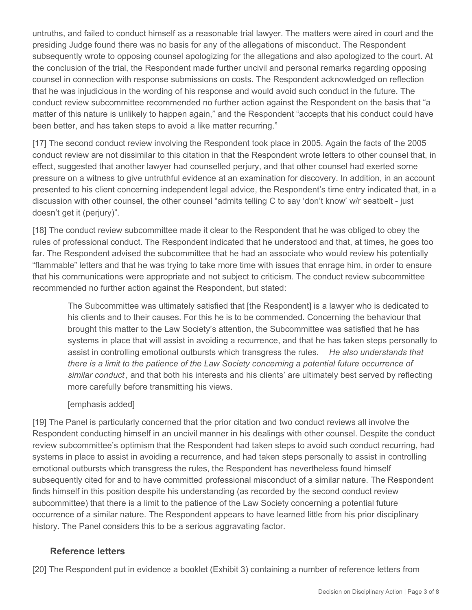untruths, and failed to conduct himself as a reasonable trial lawyer. The matters were aired in court and the presiding Judge found there was no basis for any of the allegations of misconduct. The Respondent subsequently wrote to opposing counsel apologizing for the allegations and also apologized to the court. At the conclusion of the trial, the Respondent made further uncivil and personal remarks regarding opposing counsel in connection with response submissions on costs. The Respondent acknowledged on reflection that he was injudicious in the wording of his response and would avoid such conduct in the future. The conduct review subcommittee recommended no further action against the Respondent on the basis that "a matter of this nature is unlikely to happen again," and the Respondent "accepts that his conduct could have been better, and has taken steps to avoid a like matter recurring."

[17] The second conduct review involving the Respondent took place in 2005. Again the facts of the 2005 conduct review are not dissimilar to this citation in that the Respondent wrote letters to other counsel that, in effect, suggested that another lawyer had counselled perjury, and that other counsel had exerted some pressure on a witness to give untruthful evidence at an examination for discovery. In addition, in an account presented to his client concerning independent legal advice, the Respondent's time entry indicated that, in a discussion with other counsel, the other counsel "admits telling C to say 'don't know' w/r seatbelt - just doesn't get it (perjury)".

[18] The conduct review subcommittee made it clear to the Respondent that he was obliged to obey the rules of professional conduct. The Respondent indicated that he understood and that, at times, he goes too far. The Respondent advised the subcommittee that he had an associate who would review his potentially "flammable" letters and that he was trying to take more time with issues that enrage him, in order to ensure that his communications were appropriate and not subject to criticism. The conduct review subcommittee recommended no further action against the Respondent, but stated:

The Subcommittee was ultimately satisfied that [the Respondent] is a lawyer who is dedicated to his clients and to their causes. For this he is to be commended. Concerning the behaviour that brought this matter to the Law Society's attention, the Subcommittee was satisfied that he has systems in place that will assist in avoiding a recurrence, and that he has taken steps personally to assist in controlling emotional outbursts which transgress the rules. *He also understands that there is a limit to the patience of the Law Society concerning a potential future occurrence of similar conduct* , and that both his interests and his clients' are ultimately best served by reflecting more carefully before transmitting his views.

### [emphasis added]

[19] The Panel is particularly concerned that the prior citation and two conduct reviews all involve the Respondent conducting himself in an uncivil manner in his dealings with other counsel. Despite the conduct review subcommittee's optimism that the Respondent had taken steps to avoid such conduct recurring, had systems in place to assist in avoiding a recurrence, and had taken steps personally to assist in controlling emotional outbursts which transgress the rules, the Respondent has nevertheless found himself subsequently cited for and to have committed professional misconduct of a similar nature. The Respondent finds himself in this position despite his understanding (as recorded by the second conduct review subcommittee) that there is a limit to the patience of the Law Society concerning a potential future occurrence of a similar nature. The Respondent appears to have learned little from his prior disciplinary history. The Panel considers this to be a serious aggravating factor.

### **Reference letters**

[20] The Respondent put in evidence a booklet (Exhibit 3) containing a number of reference letters from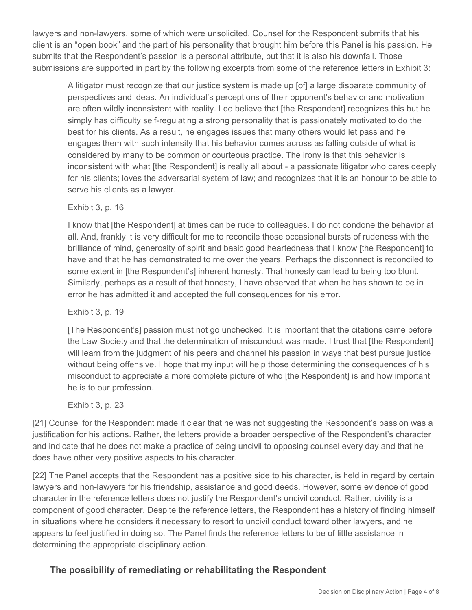lawyers and non-lawyers, some of which were unsolicited. Counsel for the Respondent submits that his client is an "open book" and the part of his personality that brought him before this Panel is his passion. He submits that the Respondent's passion is a personal attribute, but that it is also his downfall. Those submissions are supported in part by the following excerpts from some of the reference letters in Exhibit 3:

A litigator must recognize that our justice system is made up [of] a large disparate community of perspectives and ideas. An individual's perceptions of their opponent's behavior and motivation are often wildly inconsistent with reality. I do believe that [the Respondent] recognizes this but he simply has difficulty self-regulating a strong personality that is passionately motivated to do the best for his clients. As a result, he engages issues that many others would let pass and he engages them with such intensity that his behavior comes across as falling outside of what is considered by many to be common or courteous practice. The irony is that this behavior is inconsistent with what [the Respondent] is really all about - a passionate litigator who cares deeply for his clients; loves the adversarial system of law; and recognizes that it is an honour to be able to serve his clients as a lawyer.

### Exhibit 3, p. 16

I know that [the Respondent] at times can be rude to colleagues. I do not condone the behavior at all. And, frankly it is very difficult for me to reconcile those occasional bursts of rudeness with the brilliance of mind, generosity of spirit and basic good heartedness that I know [the Respondent] to have and that he has demonstrated to me over the years. Perhaps the disconnect is reconciled to some extent in [the Respondent's] inherent honesty. That honesty can lead to being too blunt. Similarly, perhaps as a result of that honesty, I have observed that when he has shown to be in error he has admitted it and accepted the full consequences for his error.

#### Exhibit 3, p. 19

[The Respondent's] passion must not go unchecked. It is important that the citations came before the Law Society and that the determination of misconduct was made. I trust that [the Respondent] will learn from the judgment of his peers and channel his passion in ways that best pursue justice without being offensive. I hope that my input will help those determining the consequences of his misconduct to appreciate a more complete picture of who [the Respondent] is and how important he is to our profession.

#### Exhibit 3, p. 23

[21] Counsel for the Respondent made it clear that he was not suggesting the Respondent's passion was a justification for his actions. Rather, the letters provide a broader perspective of the Respondent's character and indicate that he does not make a practice of being uncivil to opposing counsel every day and that he does have other very positive aspects to his character.

[22] The Panel accepts that the Respondent has a positive side to his character, is held in regard by certain lawyers and non-lawyers for his friendship, assistance and good deeds. However, some evidence of good character in the reference letters does not justify the Respondent's uncivil conduct. Rather, civility is a component of good character. Despite the reference letters, the Respondent has a history of finding himself in situations where he considers it necessary to resort to uncivil conduct toward other lawyers, and he appears to feel justified in doing so. The Panel finds the reference letters to be of little assistance in determining the appropriate disciplinary action.

## **The possibility of remediating or rehabilitating the Respondent**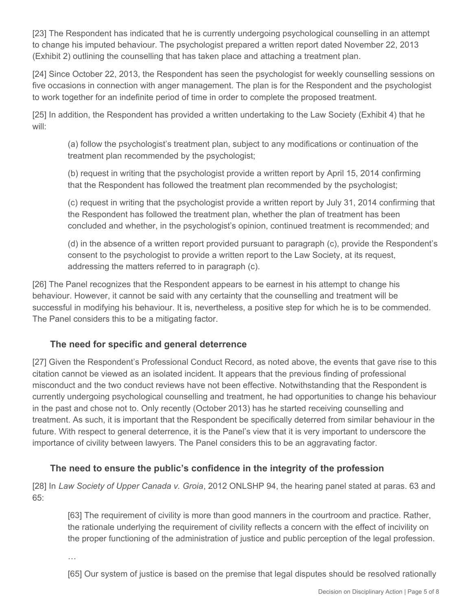[23] The Respondent has indicated that he is currently undergoing psychological counselling in an attempt to change his imputed behaviour. The psychologist prepared a written report dated November 22, 2013 (Exhibit 2) outlining the counselling that has taken place and attaching a treatment plan.

[24] Since October 22, 2013, the Respondent has seen the psychologist for weekly counselling sessions on five occasions in connection with anger management. The plan is for the Respondent and the psychologist to work together for an indefinite period of time in order to complete the proposed treatment.

[25] In addition, the Respondent has provided a written undertaking to the Law Society (Exhibit 4) that he will:

(a) follow the psychologist's treatment plan, subject to any modifications or continuation of the treatment plan recommended by the psychologist;

(b) request in writing that the psychologist provide a written report by April 15, 2014 confirming that the Respondent has followed the treatment plan recommended by the psychologist;

(c) request in writing that the psychologist provide a written report by July 31, 2014 confirming that the Respondent has followed the treatment plan, whether the plan of treatment has been concluded and whether, in the psychologist's opinion, continued treatment is recommended; and

(d) in the absence of a written report provided pursuant to paragraph (c), provide the Respondent's consent to the psychologist to provide a written report to the Law Society, at its request, addressing the matters referred to in paragraph (c).

[26] The Panel recognizes that the Respondent appears to be earnest in his attempt to change his behaviour. However, it cannot be said with any certainty that the counselling and treatment will be successful in modifying his behaviour. It is, nevertheless, a positive step for which he is to be commended. The Panel considers this to be a mitigating factor.

## **The need for specific and general deterrence**

[27] Given the Respondent's Professional Conduct Record, as noted above, the events that gave rise to this citation cannot be viewed as an isolated incident. It appears that the previous finding of professional misconduct and the two conduct reviews have not been effective. Notwithstanding that the Respondent is currently undergoing psychological counselling and treatment, he had opportunities to change his behaviour in the past and chose not to. Only recently (October 2013) has he started receiving counselling and treatment. As such, it is important that the Respondent be specifically deterred from similar behaviour in the future. With respect to general deterrence, it is the Panel's view that it is very important to underscore the importance of civility between lawyers. The Panel considers this to be an aggravating factor.

# **The need to ensure the public's confidence in the integrity of the profession**

[28] In *Law Society of Upper Canada v. Groia*, 2012 ONLSHP 94, the hearing panel stated at paras. 63 and 65:

[63] The requirement of civility is more than good manners in the courtroom and practice. Rather, the rationale underlying the requirement of civility reflects a concern with the effect of incivility on the proper functioning of the administration of justice and public perception of the legal profession.

…

[65] Our system of justice is based on the premise that legal disputes should be resolved rationally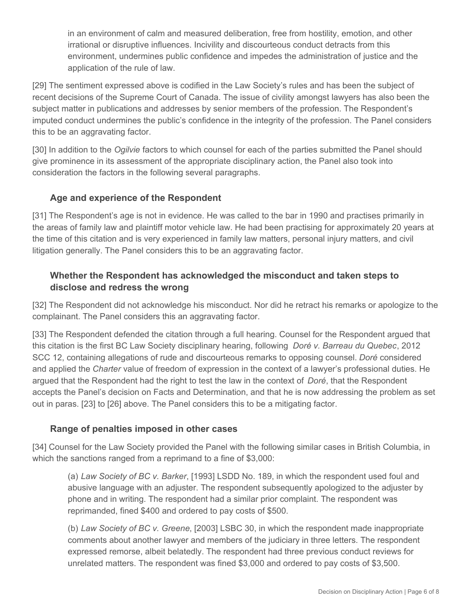in an environment of calm and measured deliberation, free from hostility, emotion, and other irrational or disruptive influences. Incivility and discourteous conduct detracts from this environment, undermines public confidence and impedes the administration of justice and the application of the rule of law.

[29] The sentiment expressed above is codified in the Law Society's rules and has been the subject of recent decisions of the Supreme Court of Canada. The issue of civility amongst lawyers has also been the subject matter in publications and addresses by senior members of the profession. The Respondent's imputed conduct undermines the public's confidence in the integrity of the profession. The Panel considers this to be an aggravating factor.

[30] In addition to the *Ogilvie* factors to which counsel for each of the parties submitted the Panel should give prominence in its assessment of the appropriate disciplinary action, the Panel also took into consideration the factors in the following several paragraphs.

## **Age and experience of the Respondent**

[31] The Respondent's age is not in evidence. He was called to the bar in 1990 and practises primarily in the areas of family law and plaintiff motor vehicle law. He had been practising for approximately 20 years at the time of this citation and is very experienced in family law matters, personal injury matters, and civil litigation generally. The Panel considers this to be an aggravating factor.

## **Whether the Respondent has acknowledged the misconduct and taken steps to disclose and redress the wrong**

[32] The Respondent did not acknowledge his misconduct. Nor did he retract his remarks or apologize to the complainant. The Panel considers this an aggravating factor.

[33] The Respondent defended the citation through a full hearing. Counsel for the Respondent argued that this citation is the first BC Law Society disciplinary hearing, following *Doré v. Barreau du Quebec*, 2012 SCC 12, containing allegations of rude and discourteous remarks to opposing counsel. *Doré* considered and applied the *Charter* value of freedom of expression in the context of a lawyer's professional duties. He argued that the Respondent had the right to test the law in the context of *Doré*, that the Respondent accepts the Panel's decision on Facts and Determination, and that he is now addressing the problem as set out in paras. [23] to [26] above. The Panel considers this to be a mitigating factor.

# **Range of penalties imposed in other cases**

[34] Counsel for the Law Society provided the Panel with the following similar cases in British Columbia, in which the sanctions ranged from a reprimand to a fine of \$3,000:

(a) *Law Society of BC v. Barker*, [1993] LSDD No. 189, in which the respondent used foul and abusive language with an adjuster. The respondent subsequently apologized to the adjuster by phone and in writing. The respondent had a similar prior complaint. The respondent was reprimanded, fined \$400 and ordered to pay costs of \$500.

(b) *Law Society of BC v. Greene*, [2003] LSBC 30, in which the respondent made inappropriate comments about another lawyer and members of the judiciary in three letters. The respondent expressed remorse, albeit belatedly. The respondent had three previous conduct reviews for unrelated matters. The respondent was fined \$3,000 and ordered to pay costs of \$3,500.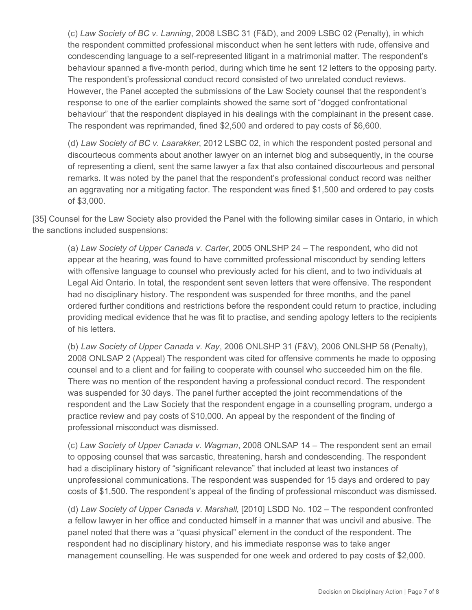(c) *Law Society of BC v. Lanning*, 2008 LSBC 31 (F&D), and 2009 LSBC 02 (Penalty), in which the respondent committed professional misconduct when he sent letters with rude, offensive and condescending language to a self-represented litigant in a matrimonial matter. The respondent's behaviour spanned a five-month period, during which time he sent 12 letters to the opposing party. The respondent's professional conduct record consisted of two unrelated conduct reviews. However, the Panel accepted the submissions of the Law Society counsel that the respondent's response to one of the earlier complaints showed the same sort of "dogged confrontational behaviour" that the respondent displayed in his dealings with the complainant in the present case. The respondent was reprimanded, fined \$2,500 and ordered to pay costs of \$6,600.

(d) *Law Society of BC v. Laarakker*, 2012 LSBC 02, in which the respondent posted personal and discourteous comments about another lawyer on an internet blog and subsequently, in the course of representing a client, sent the same lawyer a fax that also contained discourteous and personal remarks. It was noted by the panel that the respondent's professional conduct record was neither an aggravating nor a mitigating factor. The respondent was fined \$1,500 and ordered to pay costs of \$3,000.

[35] Counsel for the Law Society also provided the Panel with the following similar cases in Ontario, in which the sanctions included suspensions:

(a) *Law Society of Upper Canada v. Carter*, 2005 ONLSHP 24 – The respondent, who did not appear at the hearing, was found to have committed professional misconduct by sending letters with offensive language to counsel who previously acted for his client, and to two individuals at Legal Aid Ontario. In total, the respondent sent seven letters that were offensive. The respondent had no disciplinary history. The respondent was suspended for three months, and the panel ordered further conditions and restrictions before the respondent could return to practice, including providing medical evidence that he was fit to practise, and sending apology letters to the recipients of his letters.

(b) *Law Society of Upper Canada v. Kay*, 2006 ONLSHP 31 (F&V), 2006 ONLSHP 58 (Penalty), 2008 ONLSAP 2 (Appeal) The respondent was cited for offensive comments he made to opposing counsel and to a client and for failing to cooperate with counsel who succeeded him on the file. There was no mention of the respondent having a professional conduct record. The respondent was suspended for 30 days. The panel further accepted the joint recommendations of the respondent and the Law Society that the respondent engage in a counselling program, undergo a practice review and pay costs of \$10,000. An appeal by the respondent of the finding of professional misconduct was dismissed.

(c) *Law Society of Upper Canada v. Wagman*, 2008 ONLSAP 14 – The respondent sent an email to opposing counsel that was sarcastic, threatening, harsh and condescending. The respondent had a disciplinary history of "significant relevance" that included at least two instances of unprofessional communications. The respondent was suspended for 15 days and ordered to pay costs of \$1,500. The respondent's appeal of the finding of professional misconduct was dismissed.

(d) *Law Society of Upper Canada v. Marshall*, [2010] LSDD No. 102 – The respondent confronted a fellow lawyer in her office and conducted himself in a manner that was uncivil and abusive. The panel noted that there was a "quasi physical" element in the conduct of the respondent. The respondent had no disciplinary history, and his immediate response was to take anger management counselling. He was suspended for one week and ordered to pay costs of \$2,000.